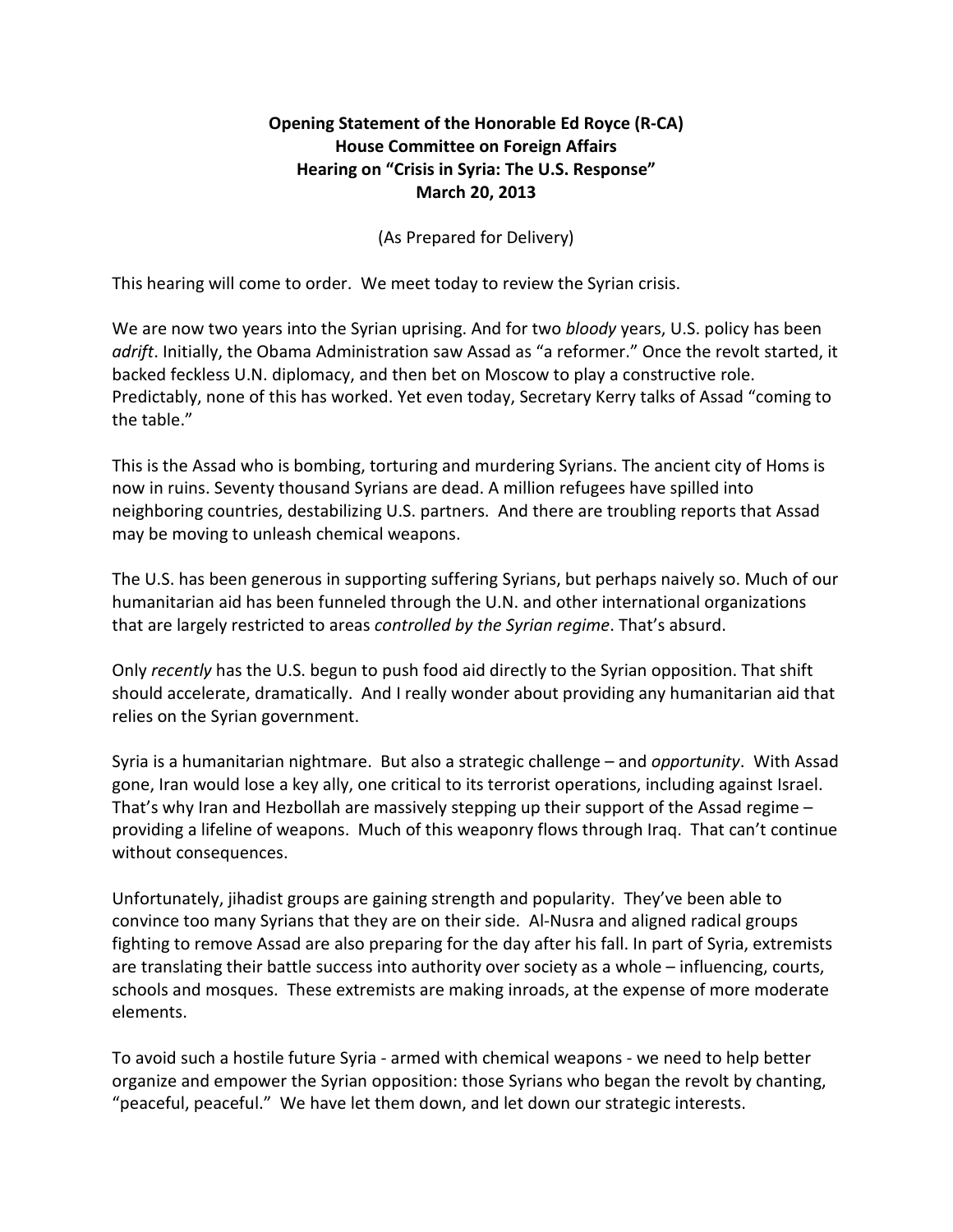## **Opening Statement of the Honorable Ed Royce (R-CA) House Committee on Foreign Affairs Hearing on "Crisis in Syria: The U.S. Response" March 20, 2013**

## (As Prepared for Delivery)

This hearing will come to order. We meet today to review the Syrian crisis.

We are now two years into the Syrian uprising. And for two *bloody* years, U.S. policy has been *adrift*. Initially, the Obama Administration saw Assad as "a reformer." Once the revolt started, it backed feckless U.N. diplomacy, and then bet on Moscow to play a constructive role. Predictably, none of this has worked. Yet even today, Secretary Kerry talks of Assad "coming to the table."

This is the Assad who is bombing, torturing and murdering Syrians. The ancient city of Homs is now in ruins. Seventy thousand Syrians are dead. A million refugees have spilled into neighboring countries, destabilizing U.S. partners. And there are troubling reports that Assad may be moving to unleash chemical weapons.

The U.S. has been generous in supporting suffering Syrians, but perhaps naively so. Much of our humanitarian aid has been funneled through the U.N. and other international organizations that are largely restricted to areas *controlled by the Syrian regime*. That's absurd.

Only *recently* has the U.S. begun to push food aid directly to the Syrian opposition. That shift should accelerate, dramatically. And I really wonder about providing any humanitarian aid that relies on the Syrian government.

Syria is a humanitarian nightmare. But also a strategic challenge – and *opportunity*. With Assad gone, Iran would lose a key ally, one critical to its terrorist operations, including against Israel. That's why Iran and Hezbollah are massively stepping up their support of the Assad regime – providing a lifeline of weapons. Much of this weaponry flows through Iraq. That can't continue without consequences.

Unfortunately, jihadist groups are gaining strength and popularity. They've been able to convince too many Syrians that they are on their side. Al-Nusra and aligned radical groups fighting to remove Assad are also preparing for the day after his fall. In part of Syria, extremists are translating their battle success into authority over society as a whole – influencing, courts, schools and mosques. These extremists are making inroads, at the expense of more moderate elements.

To avoid such a hostile future Syria - armed with chemical weapons - we need to help better organize and empower the Syrian opposition: those Syrians who began the revolt by chanting, "peaceful, peaceful." We have let them down, and let down our strategic interests.